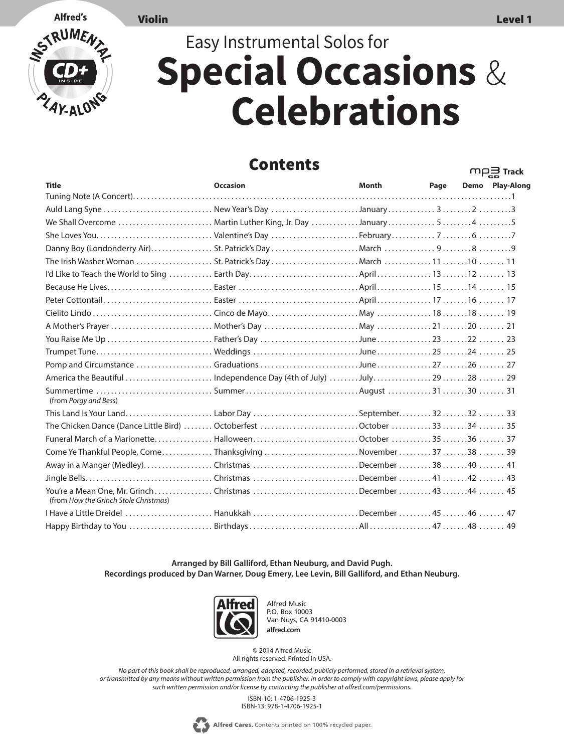**M**<u>P</u> Track



## Easy Instrumental Solos for **Special Occasions** & **Celebrations**

## Contents

|                                                                                                   |                 |              |      | cв              |
|---------------------------------------------------------------------------------------------------|-----------------|--------------|------|-----------------|
| <b>Title</b>                                                                                      | <b>Occasion</b> | <b>Month</b> | Page | Demo Play-Along |
|                                                                                                   |                 |              |      |                 |
| Auld Lang Syne  New Year's Day January323                                                         |                 |              |      |                 |
| We Shall Overcome  Martin Luther King, Jr. Day January545                                         |                 |              |      |                 |
|                                                                                                   |                 |              |      |                 |
|                                                                                                   |                 |              |      |                 |
|                                                                                                   |                 |              |      |                 |
|                                                                                                   |                 |              |      |                 |
|                                                                                                   |                 |              |      |                 |
|                                                                                                   |                 |              |      |                 |
|                                                                                                   |                 |              |      |                 |
|                                                                                                   |                 |              |      |                 |
|                                                                                                   |                 |              |      |                 |
|                                                                                                   |                 |              |      |                 |
|                                                                                                   |                 |              |      |                 |
| America the Beautiful  Independence Day (4th of July) July2928  29                                |                 |              |      |                 |
| Summertime SummerAugust 3130  31<br>(from Porgy and Bess)                                         |                 |              |      |                 |
| This Land Is Your Land Labor Day September32 33                                                   |                 |              |      |                 |
| The Chicken Dance (Dance Little Bird)  Octoberfest October 3334  35                               |                 |              |      |                 |
|                                                                                                   |                 |              |      |                 |
| Come Ye Thankful People, ComeThanksgivingNovember3738  39                                         |                 |              |      |                 |
| Away in a Manger (Medley)Christmas December 3840  41                                              |                 |              |      |                 |
|                                                                                                   |                 |              |      |                 |
| You're a Mean One, Mr. GrinchChristmas December 4344  45<br>(from How the Grinch Stole Christmas) |                 |              |      |                 |
| 1 Have a Little Dreidel  Hanukkah December 45                                                     |                 |              |      |                 |
|                                                                                                   |                 |              |      |                 |

**Arranged by Bill Galliford, Ethan Neuburg, and David Pugh. Recordings produced by Dan Warner, Doug Emery, Lee Levin, Bill Galliford, and Ethan Neuburg.**



Alfred Music P.O. Box 10003 Van Nuys, CA 91410-0003 **alfred.com**

© 2014 Alfred Music All rights reserved. Printed in USA.

*No part of this book shall be reproduced, arranged, adapted, recorded, publicly performed, stored in a retrieval system, or transmitted by any means without written permission from the publisher. In order to comply with copyright laws, please apply for such written permission and/or license by contacting the publisher at alfred.com/permissions.*

> ISBN-10: 1-4706-1925-3 ISBN-13: 978-1-4706-1925-1

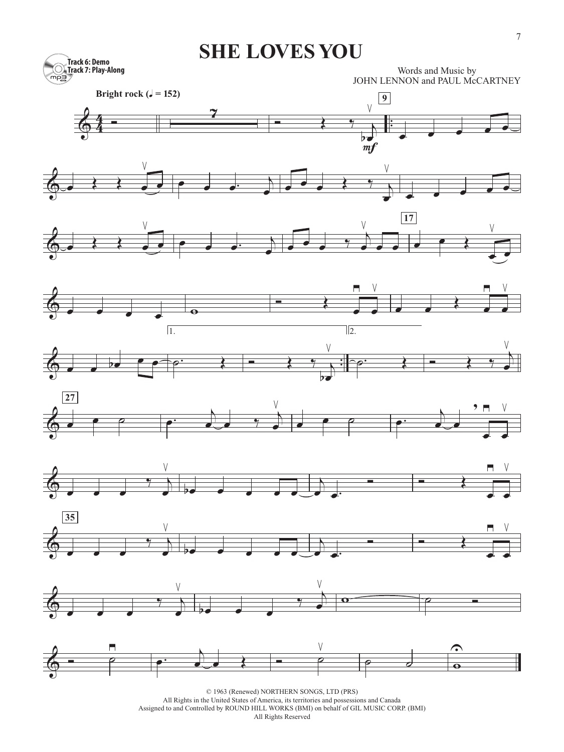## **SHE LOVES YOU**



Words and Music by JOHN LENNON and PAUL McCARTNEY





















© 1963 (Renewed) NORTHERN SONGS, LTD (PRS)

All Rights in the United States of America, its territories and possessions and Canada

Assigned to and Controlled by ROUND HILL WORKS (BMI) on behalf of GIL MUSIC CORP. (BMI)